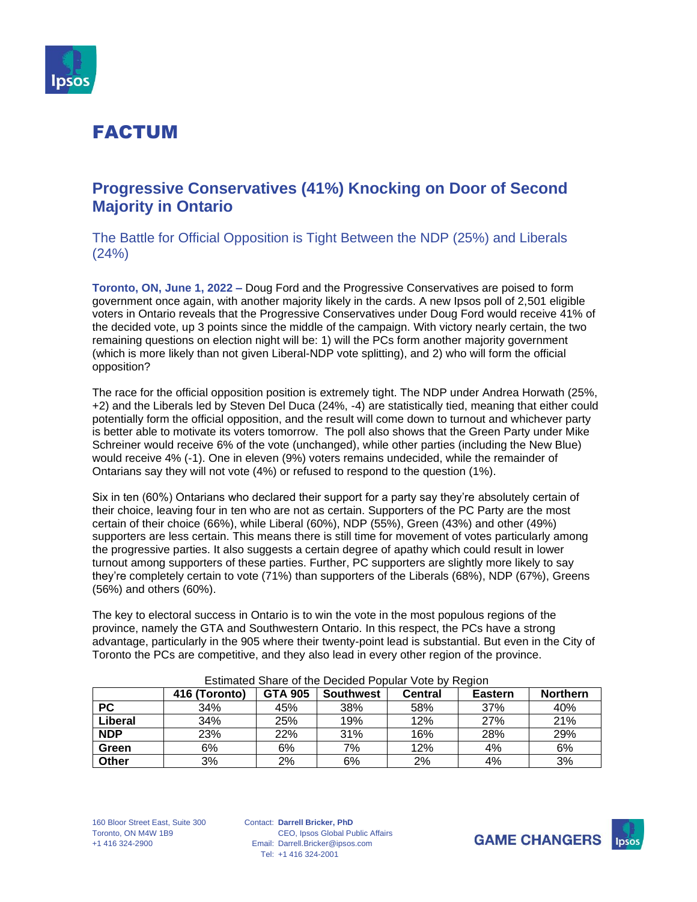

### **Progressive Conservatives (41%) Knocking on Door of Second Majority in Ontario**

The Battle for Official Opposition is Tight Between the NDP (25%) and Liberals (24%)

**Toronto, ON, June 1, 2022 –** Doug Ford and the Progressive Conservatives are poised to form government once again, with another majority likely in the cards. A new Ipsos poll of 2,501 eligible voters in Ontario reveals that the Progressive Conservatives under Doug Ford would receive 41% of the decided vote, up 3 points since the middle of the campaign. With victory nearly certain, the two remaining questions on election night will be: 1) will the PCs form another majority government (which is more likely than not given Liberal-NDP vote splitting), and 2) who will form the official opposition?

The race for the official opposition position is extremely tight. The NDP under Andrea Horwath (25%, +2) and the Liberals led by Steven Del Duca (24%, -4) are statistically tied, meaning that either could potentially form the official opposition, and the result will come down to turnout and whichever party is better able to motivate its voters tomorrow. The poll also shows that the Green Party under Mike Schreiner would receive 6% of the vote (unchanged), while other parties (including the New Blue) would receive 4% (-1). One in eleven (9%) voters remains undecided, while the remainder of Ontarians say they will not vote (4%) or refused to respond to the question (1%).

Six in ten (60%) Ontarians who declared their support for a party say they're absolutely certain of their choice, leaving four in ten who are not as certain. Supporters of the PC Party are the most certain of their choice (66%), while Liberal (60%), NDP (55%), Green (43%) and other (49%) supporters are less certain. This means there is still time for movement of votes particularly among the progressive parties. It also suggests a certain degree of apathy which could result in lower turnout among supporters of these parties. Further, PC supporters are slightly more likely to say they're completely certain to vote (71%) than supporters of the Liberals (68%), NDP (67%), Greens (56%) and others (60%).

The key to electoral success in Ontario is to win the vote in the most populous regions of the province, namely the GTA and Southwestern Ontario. In this respect, the PCs have a strong advantage, particularly in the 905 where their twenty-point lead is substantial. But even in the City of Toronto the PCs are competitive, and they also lead in every other region of the province.

| Lournated Origie Of the Decided Fobular VOIG DV Redion |               |                |                  |         |                |                 |
|--------------------------------------------------------|---------------|----------------|------------------|---------|----------------|-----------------|
|                                                        | 416 (Toronto) | <b>GTA 905</b> | <b>Southwest</b> | Central | <b>Eastern</b> | <b>Northern</b> |
| <b>PC</b>                                              | 34%           | 45%            | 38%              | 58%     | 37%            | 40%             |
| Liberal                                                | 34%           | 25%            | 19%              | 12%     | 27%            | 21%             |
| <b>NDP</b>                                             | 23%           | 22%            | 31%              | 16%     | 28%            | 29%             |
| Green                                                  | 6%            | 6%             | 7%               | 12%     | 4%             | 6%              |
| Other                                                  | 3%            | 2%             | 6%               | 2%      | 4%             | 3%              |

#### Estimated Share of the Decided Popular Vote by Region

160 Bloor Street East, Suite 300 Toronto, ON M4W 1B9 +1 416 324-2900

Contact: **Darrell Bricker, PhD** Email: Darrell.Bricker@ipsos.com Tel: +1 416 324-2001 CEO, Ipsos Global Public Affairs



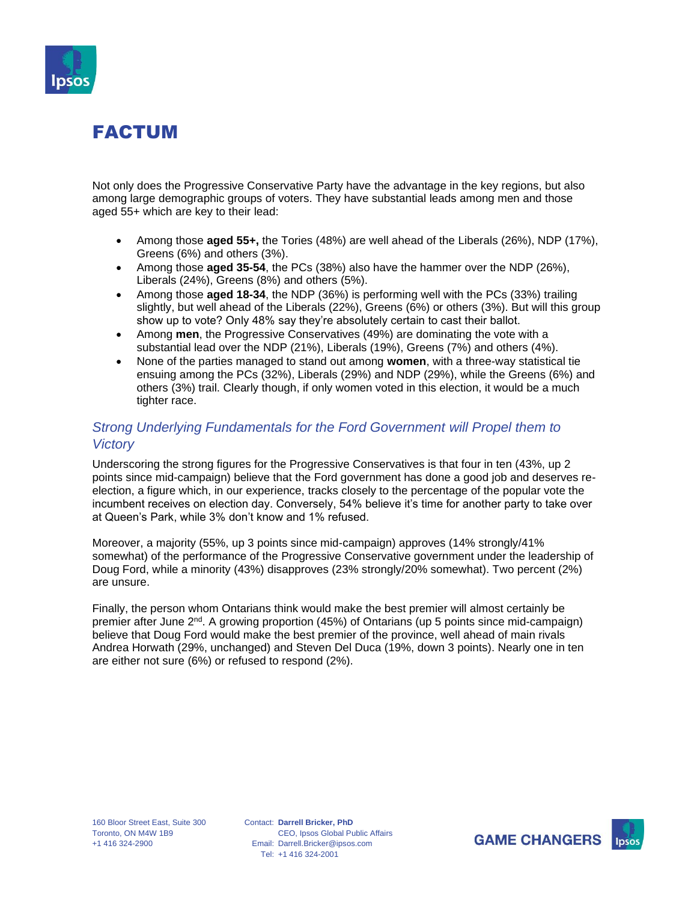

Not only does the Progressive Conservative Party have the advantage in the key regions, but also among large demographic groups of voters. They have substantial leads among men and those aged 55+ which are key to their lead:

- Among those **aged 55+,** the Tories (48%) are well ahead of the Liberals (26%), NDP (17%), Greens (6%) and others (3%).
- Among those **aged 35-54**, the PCs (38%) also have the hammer over the NDP (26%), Liberals (24%), Greens (8%) and others (5%).
- Among those **aged 18-34**, the NDP (36%) is performing well with the PCs (33%) trailing slightly, but well ahead of the Liberals (22%), Greens (6%) or others (3%). But will this group show up to vote? Only 48% say they're absolutely certain to cast their ballot.
- Among **men**, the Progressive Conservatives (49%) are dominating the vote with a substantial lead over the NDP (21%), Liberals (19%), Greens (7%) and others (4%).
- None of the parties managed to stand out among **women**, with a three-way statistical tie ensuing among the PCs (32%), Liberals (29%) and NDP (29%), while the Greens (6%) and others (3%) trail. Clearly though, if only women voted in this election, it would be a much tighter race.

### *Strong Underlying Fundamentals for the Ford Government will Propel them to Victory*

Underscoring the strong figures for the Progressive Conservatives is that four in ten (43%, up 2 points since mid-campaign) believe that the Ford government has done a good job and deserves reelection, a figure which, in our experience, tracks closely to the percentage of the popular vote the incumbent receives on election day. Conversely, 54% believe it's time for another party to take over at Queen's Park, while 3% don't know and 1% refused.

Moreover, a majority (55%, up 3 points since mid-campaign) approves (14% strongly/41% somewhat) of the performance of the Progressive Conservative government under the leadership of Doug Ford, while a minority (43%) disapproves (23% strongly/20% somewhat). Two percent (2%) are unsure.

Finally, the person whom Ontarians think would make the best premier will almost certainly be premier after June  $2<sup>nd</sup>$ . A growing proportion (45%) of Ontarians (up 5 points since mid-campaign) believe that Doug Ford would make the best premier of the province, well ahead of main rivals Andrea Horwath (29%, unchanged) and Steven Del Duca (19%, down 3 points). Nearly one in ten are either not sure (6%) or refused to respond (2%).

Contact: **Darrell Bricker, PhD** Email: Darrell.Bricker@ipsos.com Tel: +1 416 324-2001 CEO, Ipsos Global Public Affairs

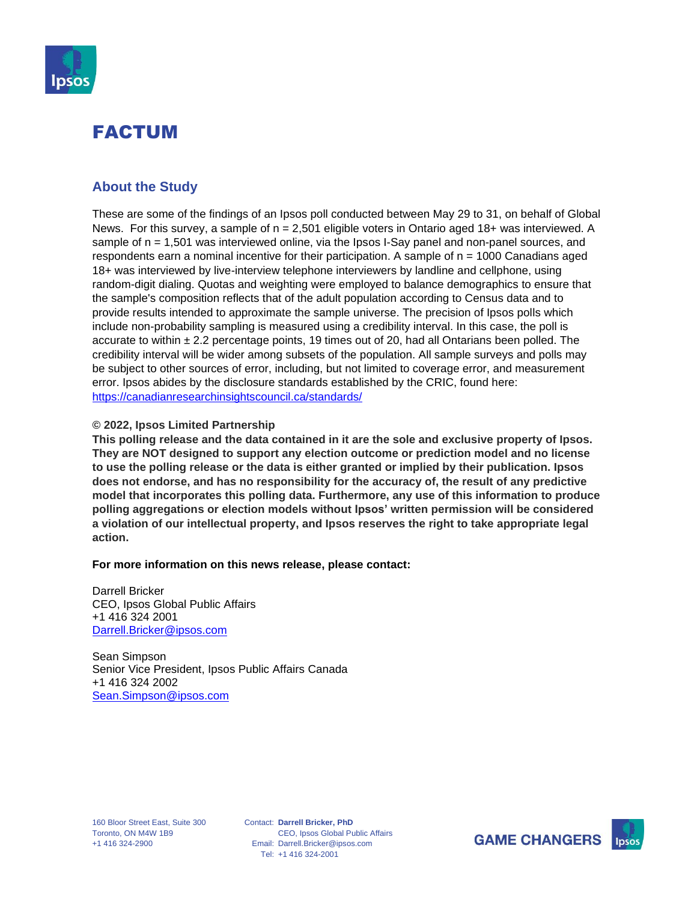

### **About the Study**

These are some of the findings of an Ipsos poll conducted between May 29 to 31, on behalf of Global News. For this survey, a sample of  $n = 2,501$  eligible voters in Ontario aged 18+ was interviewed. A sample of n = 1,501 was interviewed online, via the Ipsos I-Say panel and non-panel sources, and respondents earn a nominal incentive for their participation. A sample of n = 1000 Canadians aged 18+ was interviewed by live-interview telephone interviewers by landline and cellphone, using random-digit dialing. Quotas and weighting were employed to balance demographics to ensure that the sample's composition reflects that of the adult population according to Census data and to provide results intended to approximate the sample universe. The precision of Ipsos polls which include non-probability sampling is measured using a credibility interval. In this case, the poll is accurate to within  $\pm 2.2$  percentage points, 19 times out of 20, had all Ontarians been polled. The credibility interval will be wider among subsets of the population. All sample surveys and polls may be subject to other sources of error, including, but not limited to coverage error, and measurement error. Ipsos abides by the disclosure standards established by the CRIC, found here: <https://canadianresearchinsightscouncil.ca/standards/>

#### **© 2022, Ipsos Limited Partnership**

**This polling release and the data contained in it are the sole and exclusive property of Ipsos. They are NOT designed to support any election outcome or prediction model and no license to use the polling release or the data is either granted or implied by their publication. Ipsos does not endorse, and has no responsibility for the accuracy of, the result of any predictive model that incorporates this polling data. Furthermore, any use of this information to produce polling aggregations or election models without Ipsos' written permission will be considered a violation of our intellectual property, and Ipsos reserves the right to take appropriate legal action.**

#### **For more information on this news release, please contact:**

Darrell Bricker CEO, Ipsos Global Public Affairs +1 416 324 2001 [Darrell.Bricker@ipsos.com](mailto:Darrell.Bricker@ipsos.com)

Sean Simpson Senior Vice President, Ipsos Public Affairs Canada +1 416 324 2002 [Sean.Simpson@ipsos.com](mailto:Sean.Simpson@ipsos.com)

Contact: **Darrell Bricker, PhD** Email: Darrell.Bricker@ipsos.com Tel: +1 416 324-2001 CEO, Ipsos Global Public Affairs